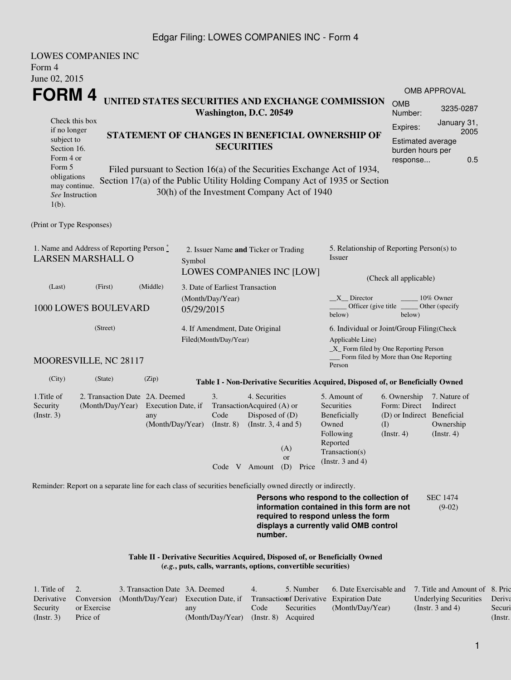## Edgar Filing: LOWES COMPANIES INC - Form 4

| Form 4<br>June 02, 2015                                                                                                                           | <b>LOWES COMPANIES INC</b>                                                                                  |                                                                                                                            |                                |                                                                  |                                                                                                                                                    |                                                                                 |                                                                                                                                                                         |                                                                                             |                                                           |  |  |
|---------------------------------------------------------------------------------------------------------------------------------------------------|-------------------------------------------------------------------------------------------------------------|----------------------------------------------------------------------------------------------------------------------------|--------------------------------|------------------------------------------------------------------|----------------------------------------------------------------------------------------------------------------------------------------------------|---------------------------------------------------------------------------------|-------------------------------------------------------------------------------------------------------------------------------------------------------------------------|---------------------------------------------------------------------------------------------|-----------------------------------------------------------|--|--|
| FORM 4                                                                                                                                            |                                                                                                             |                                                                                                                            |                                |                                                                  |                                                                                                                                                    |                                                                                 |                                                                                                                                                                         |                                                                                             | <b>OMB APPROVAL</b>                                       |  |  |
|                                                                                                                                                   |                                                                                                             |                                                                                                                            |                                | Washington, D.C. 20549                                           |                                                                                                                                                    |                                                                                 | UNITED STATES SECURITIES AND EXCHANGE COMMISSION                                                                                                                        | <b>OMB</b><br>Number:                                                                       | 3235-0287                                                 |  |  |
| Check this box<br>if no longer<br>subject to<br>Section 16.<br>Form 4 or<br>Form 5<br>obligations<br>may continue.<br>See Instruction<br>$1(b)$ . | Section 17(a) of the Public Utility Holding Company Act of 1935 or Section                                  | STATEMENT OF CHANGES IN BENEFICIAL OWNERSHIP OF<br>Filed pursuant to Section 16(a) of the Securities Exchange Act of 1934, |                                | <b>SECURITIES</b><br>30(h) of the Investment Company Act of 1940 | Expires:                                                                                                                                           | January 31,<br>2005<br>Estimated average<br>burden hours per<br>0.5<br>response |                                                                                                                                                                         |                                                                                             |                                                           |  |  |
| (Print or Type Responses)                                                                                                                         |                                                                                                             |                                                                                                                            |                                |                                                                  |                                                                                                                                                    |                                                                                 |                                                                                                                                                                         |                                                                                             |                                                           |  |  |
| 1. Name and Address of Reporting Person $\stackrel{*}{\mathbb{L}}$<br><b>LARSEN MARSHALL O</b>                                                    |                                                                                                             |                                                                                                                            | Symbol                         | 2. Issuer Name and Ticker or Trading                             |                                                                                                                                                    | LOWES COMPANIES INC [LOW]                                                       | 5. Relationship of Reporting Person(s) to<br><b>Issuer</b><br>(Check all applicable)                                                                                    |                                                                                             |                                                           |  |  |
| (First)<br>(Middle)<br>(Last)                                                                                                                     |                                                                                                             |                                                                                                                            |                                | 3. Date of Earliest Transaction                                  |                                                                                                                                                    |                                                                                 |                                                                                                                                                                         |                                                                                             |                                                           |  |  |
| 1000 LOWE'S BOULEVARD                                                                                                                             |                                                                                                             |                                                                                                                            | (Month/Day/Year)<br>05/29/2015 |                                                                  |                                                                                                                                                    |                                                                                 | $X$ Director<br>10% Owner<br>Officer (give title)<br>Other (specify<br>below)<br>below)                                                                                 |                                                                                             |                                                           |  |  |
|                                                                                                                                                   | 4. If Amendment, Date Original<br>Filed(Month/Day/Year)                                                     |                                                                                                                            |                                |                                                                  | 6. Individual or Joint/Group Filing(Check<br>Applicable Line)<br>$\_X$ Form filed by One Reporting Person<br>Form filed by More than One Reporting |                                                                                 |                                                                                                                                                                         |                                                                                             |                                                           |  |  |
|                                                                                                                                                   | MOORESVILLE, NC 28117                                                                                       |                                                                                                                            |                                |                                                                  |                                                                                                                                                    |                                                                                 | Person                                                                                                                                                                  |                                                                                             |                                                           |  |  |
| (City)                                                                                                                                            | (State)                                                                                                     | (Zip)                                                                                                                      |                                |                                                                  |                                                                                                                                                    |                                                                                 | Table I - Non-Derivative Securities Acquired, Disposed of, or Beneficially Owned                                                                                        |                                                                                             |                                                           |  |  |
| 1. Title of<br>Security<br>(Insert. 3)                                                                                                            | 2. Transaction Date 2A. Deemed<br>(Month/Day/Year)                                                          | Execution Date, if<br>any<br>(Month/Day/Year)                                                                              |                                | 3.<br>Code<br>$($ Instr. $8)$                                    | 4. Securities<br>TransactionAcquired (A) or<br>Disposed of (D)<br>(Instr. $3, 4$ and $5$ )<br>Code V Amount                                        | (A)<br><b>or</b><br>(D)<br>Price                                                | 5. Amount of<br>Securities<br>Beneficially<br>Owned<br>Following<br>Reported<br>Transaction(s)<br>(Instr. $3$ and $4$ )                                                 | 6. Ownership<br>Form: Direct<br>(D) or Indirect Beneficial<br>$\rm (I)$<br>$($ Instr. 4 $)$ | 7. Nature of<br>Indirect<br>Ownership<br>$($ Instr. 4 $)$ |  |  |
|                                                                                                                                                   | Reminder: Report on a separate line for each class of securities beneficially owned directly or indirectly. |                                                                                                                            |                                |                                                                  |                                                                                                                                                    |                                                                                 |                                                                                                                                                                         |                                                                                             |                                                           |  |  |
|                                                                                                                                                   |                                                                                                             |                                                                                                                            |                                |                                                                  | number.                                                                                                                                            |                                                                                 | Persons who respond to the collection of<br>information contained in this form are not<br>required to respond unless the form<br>displays a currently valid OMB control |                                                                                             | <b>SEC 1474</b><br>$(9-02)$                               |  |  |
|                                                                                                                                                   |                                                                                                             |                                                                                                                            |                                |                                                                  |                                                                                                                                                    | (e.g., puts, calls, warrants, options, convertible securities)                  | Table II - Derivative Securities Acquired, Disposed of, or Beneficially Owned                                                                                           |                                                                                             |                                                           |  |  |

| 1. Title of $\quad 2.$ |             | 3. Transaction Date 3A. Deemed                                                                      |                                      | $-4$ | 5. Number  | 6. Date Exercisable and 7. Title and Amount of 8. Pric |                              |            |
|------------------------|-------------|-----------------------------------------------------------------------------------------------------|--------------------------------------|------|------------|--------------------------------------------------------|------------------------------|------------|
|                        |             | Derivative Conversion (Month/Day/Year) Execution Date, if Transaction of Derivative Expiration Date |                                      |      |            |                                                        | Underlying Securities Deriva |            |
| Security               | or Exercise |                                                                                                     | any                                  | Code | Securities | (Month/Day/Year)                                       | (Instr. 3 and 4)             | Securi     |
| (Insert. 3)            | Price of    |                                                                                                     | (Month/Day/Year) (Instr. 8) Acquired |      |            |                                                        |                              | $($ Instr. |